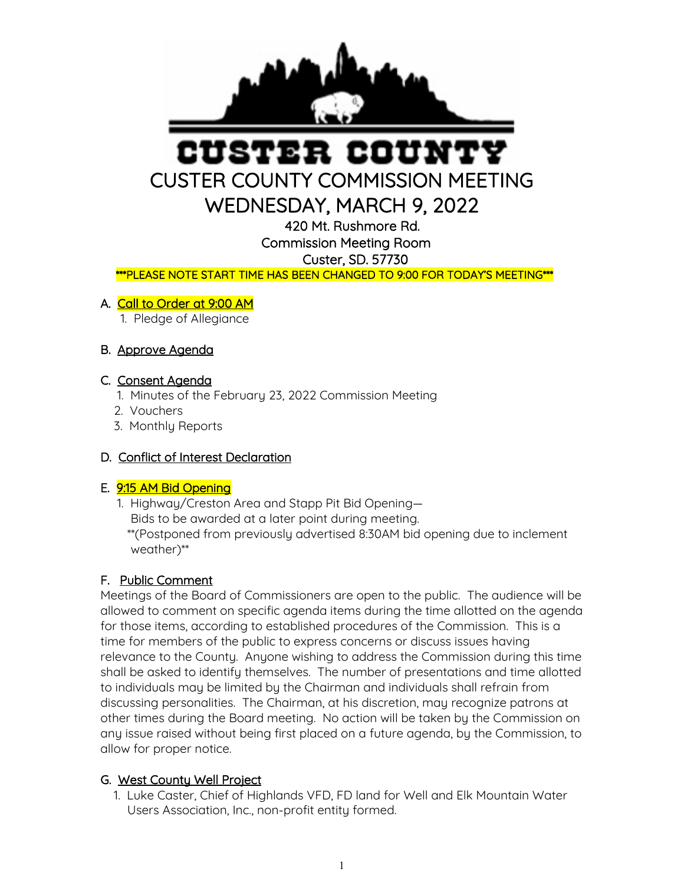

# USTER COUN CUSTER COUNTY COMMISSION MEETING

WEDNESDAY, MARCH 9, 2022

420 Mt. Rushmore Rd.

Commission Meeting Room

Custer, SD. 57730

\*\*\*PLEASE NOTE START TIME HAS BEEN CHANGED TO 9:00 FOR TODAY'S MEETING\*\*\*

#### A. Call to Order at 9:00 AM

1. Pledge of Allegiance

## B. Approve Agenda

#### C. Consent Agenda

- 1. Minutes of the February 23, 2022 Commission Meeting
- 2. Vouchers
- 3. Monthly Reports

## D. Conflict of Interest Declaration

#### E. 9:15 AM Bid Opening

 1. Highway/Creston Area and Stapp Pit Bid Opening— Bids to be awarded at a later point during meeting. \*\*(Postponed from previously advertised 8:30AM bid opening due to inclement weather)\*\*

## F. Public Comment

Meetings of the Board of Commissioners are open to the public. The audience will be allowed to comment on specific agenda items during the time allotted on the agenda for those items, according to established procedures of the Commission. This is a time for members of the public to express concerns or discuss issues having relevance to the County. Anyone wishing to address the Commission during this time shall be asked to identify themselves. The number of presentations and time allotted to individuals may be limited by the Chairman and individuals shall refrain from discussing personalities. The Chairman, at his discretion, may recognize patrons at other times during the Board meeting. No action will be taken by the Commission on any issue raised without being first placed on a future agenda, by the Commission, to allow for proper notice.

#### G. West County Well Project

 1. Luke Caster, Chief of Highlands VFD, FD land for Well and Elk Mountain Water Users Association, Inc., non-profit entity formed.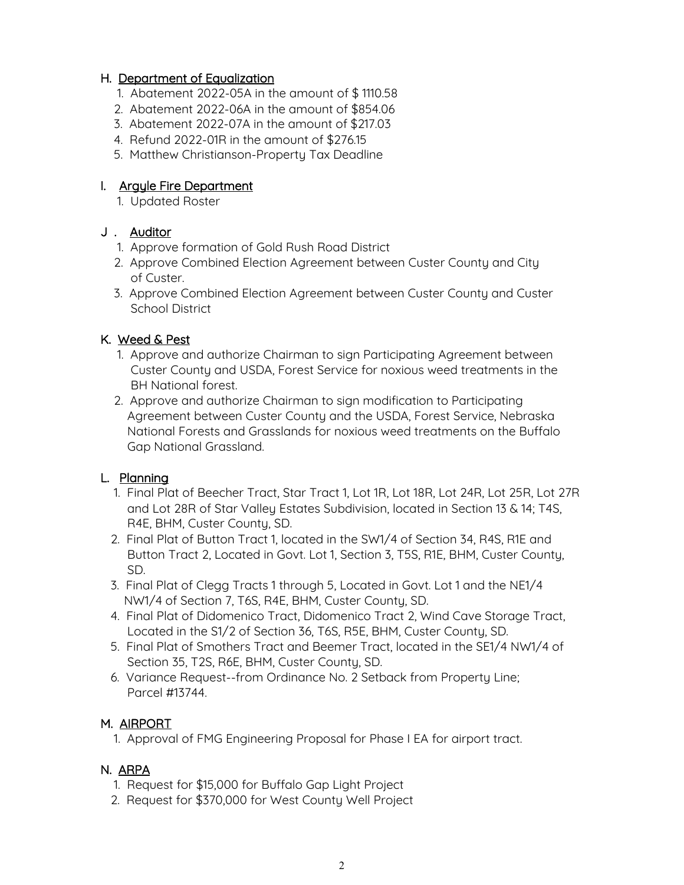#### H. Department of Equalization

- 1. Abatement 2022-05A in the amount of \$ 1110.58
- 2. Abatement 2022-06A in the amount of \$854.06
- 3. Abatement 2022-07A in the amount of \$217.03
- 4. Refund 2022-01R in the amount of \$276.15
- 5. Matthew Christianson-Property Tax Deadline

#### I. Argyle Fire Department

1. Updated Roster

#### J . Auditor

- 1. Approve formation of Gold Rush Road District
- 2. Approve Combined Election Agreement between Custer County and City of Custer.
- 3. Approve Combined Election Agreement between Custer County and Custer School District

#### K. Weed & Pest

- 1. Approve and authorize Chairman to sign Participating Agreement between Custer County and USDA, Forest Service for noxious weed treatments in the BH National forest.
- 2. Approve and authorize Chairman to sign modification to Participating Agreement between Custer County and the USDA, Forest Service, Nebraska National Forests and Grasslands for noxious weed treatments on the Buffalo Gap National Grassland.

## L. Planning

- 1. Final Plat of Beecher Tract, Star Tract 1, Lot 1R, Lot 18R, Lot 24R, Lot 25R, Lot 27R and Lot 28R of Star Valley Estates Subdivision, located in Section 13 & 14; T4S, R4E, BHM, Custer County, SD.
- 2. Final Plat of Button Tract 1, located in the SW1/4 of Section 34, R4S, R1E and Button Tract 2, Located in Govt. Lot 1, Section 3, T5S, R1E, BHM, Custer County, SD.
- 3. Final Plat of Clegg Tracts 1 through 5, Located in Govt. Lot 1 and the NE1/4 NW1/4 of Section 7, T6S, R4E, BHM, Custer County, SD.
- 4. Final Plat of Didomenico Tract, Didomenico Tract 2, Wind Cave Storage Tract, Located in the S1/2 of Section 36, T6S, R5E, BHM, Custer County, SD.
- 5. Final Plat of Smothers Tract and Beemer Tract, located in the SE1/4 NW1/4 of Section 35, T2S, R6E, BHM, Custer County, SD.
- 6. Variance Request--from Ordinance No. 2 Setback from Property Line; Parcel #13744.

## M. AIRPORT

1. Approval of FMG Engineering Proposal for Phase I EA for airport tract.

## N. ARPA

- 1. Request for \$15,000 for Buffalo Gap Light Project
- 2. Request for \$370,000 for West County Well Project